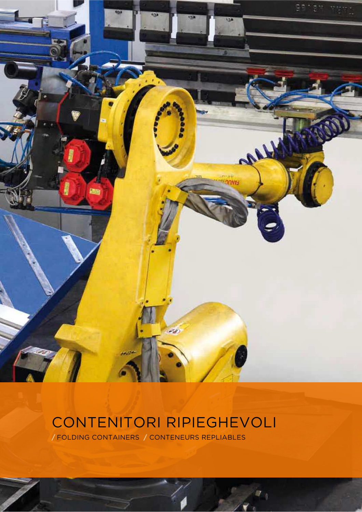

# CONTENITORI RIPIEGHEVOLI

**/** FOLDING CONTAINERS**/** CONTENEURS REPLIABLES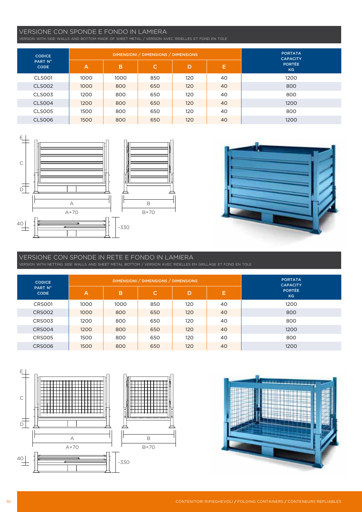## VERSIONE CON SPONDE E FONDO IN LAMIERA

VERSION WITH SIDE WALLS AND BOTTOM MADE OF SHEET METAL / VERSION AVEC RIDELLES ET FOND EN TOLE

| <b>CODICE</b>          |                   |      | DIMENSIONI / DIMENSIONS / DIMENSIONS | <b>PORTATA</b><br><b>CAPACITY</b> |    |      |
|------------------------|-------------------|------|--------------------------------------|-----------------------------------|----|------|
| PART N°<br><b>CODE</b> | C.<br>B<br>D<br>A | Е    | <b>PORTÉE</b><br>KG                  |                                   |    |      |
| CLSO01                 | 1000              | 1000 | 850                                  | 120                               | 40 | 1200 |
| <b>CLS002</b>          | 1000              | 800  | 650                                  | 120                               | 40 | 800  |
| <b>CLS003</b>          | 1200              | 800  | 650                                  | 120                               | 40 | 800  |
| <b>CLS004</b>          | 1200              | 800  | 650                                  | 120                               | 40 | 1200 |
| <b>CLS005</b>          | 1500              | 800  | 650                                  | 120                               | 40 | 800  |
| <b>CLS006</b>          | 1500              | 800  | 650                                  | 120                               | 40 | 1200 |





#### VERSIONE CON SPONDE IN RETE E FONDO IN LAMIERA VERSION WITH NETTING SIDE WALLS AND SHEET METAL BOTTOM / VERSION AVEC RIDELLES EN GRILLAGE ET FOND EN TOLE

| <b>CODICE</b>          |                |      | DIMENSIONI / DIMENSIONS / DIMENSIONS | <b>PORTATA</b><br><b>CAPACITY</b> |    |                     |
|------------------------|----------------|------|--------------------------------------|-----------------------------------|----|---------------------|
| PART N°<br><b>CODE</b> | $\overline{A}$ | B    | C.                                   | D                                 | Е  | <b>PORTÉE</b><br>KG |
| CRS001                 | 1000           | 1000 | 850                                  | 120                               | 40 | 1200                |
| CRS002                 | 1000           | 800  | 650                                  | 120                               | 40 | 800                 |
| CRS003                 | 1200           | 800  | 650                                  | 120                               | 40 | 800                 |
| CRS004                 | 1200           | 800  | 650                                  | 120                               | 40 | 1200                |
| <b>CRS005</b>          | 1500           | 800  | 650                                  | 120                               | 40 | 800                 |
| <b>CRS006</b>          | 1500           | 800  | 650                                  | 120                               | 40 | 1200                |



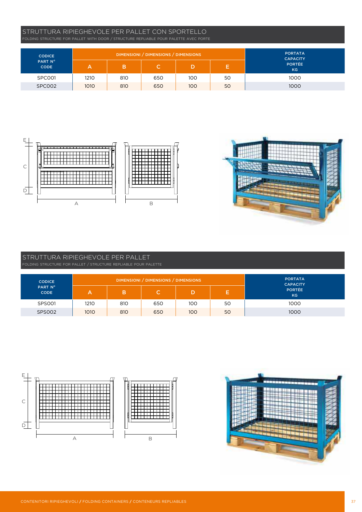### STRUTTURA RIPIEGHEVOLE PER PALLET CON SPORTELLO FOLDING STRUCTURE FOR PALLET WITH DOOR / STRUCTURE REPLIABLE POUR PALETTE AVEC PORTE

| <b>CODICE</b>          |      | <b>PORTATA</b><br><b>CAPACITY</b> |     |     |    |                            |
|------------------------|------|-----------------------------------|-----|-----|----|----------------------------|
| PART N°<br><b>CODE</b> | Α    | в                                 | u   |     | Е. | <b>PORTÉE</b><br><b>KG</b> |
| SPC001                 | 1210 | 810                               | 650 | 100 | 50 | 1000                       |
| SPC002                 | 1010 | 810                               | 650 | 100 | 50 | 1000                       |



# STRUTTURA RIPIEGHEVOLE PER PALLET

| <b>CODICE</b>          |      | DIMENSIONI / DIMENSIONS / DIMENSIONS | <b>PORTATA</b><br><b>CAPACITY</b> |     |     |                     |
|------------------------|------|--------------------------------------|-----------------------------------|-----|-----|---------------------|
| PART N°<br><b>CODE</b> | А    | в                                    |                                   |     | . . | PORTÉE<br><b>KG</b> |
| SPS001                 | 1210 | 810                                  | 650                               | 100 | 50  | 1000                |
| <b>SPS002</b>          | 1010 | 810                                  | 650                               | 100 | 50  | 1000                |



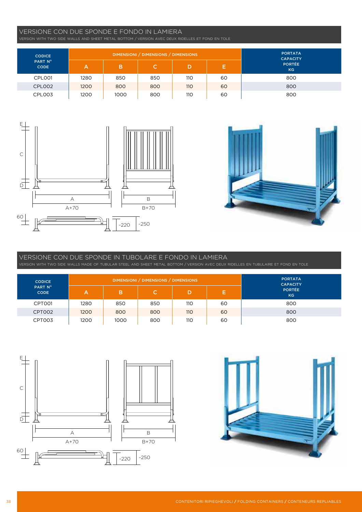### VERSIONE CON DUE SPONDE E FONDO IN LAMIERA

VERSION WITH TWO SIDE WALLS AND SHEET METAL BOTTOM / VERSION AVEC DEUX RIDELLES ET FOND EN TOLE

| <b>CODICE</b>          |      | <b>PORTATA</b><br><b>CAPACITY</b> |     |     |    |                            |
|------------------------|------|-----------------------------------|-----|-----|----|----------------------------|
| PART N°<br><b>CODE</b> | А    | в                                 | C.  |     | E, | <b>PORTÉE</b><br><b>KG</b> |
| CPLO01                 | 1280 | 850                               | 850 | 110 | 60 | 800                        |
| CPLO02                 | 1200 | 800                               | 800 | 110 | 60 | 800                        |
| CPL003                 | 1200 | 1000                              | 800 | 110 | 60 | 800                        |





# VERSIONE CON DUE SPONDE IN TUBOLARE E FONDO IN LAMIERA

VERSION WITH TWO SIDE WALLS MADE OF TUBULAR STEEL AND SHEET METAL BOTTOM / VERSION AVEC DEUX RIDELLES EN TUBULAIRE ET FOND EN TOLE

| <b>CODICE</b>          |      |      | DIMENSIONI / DIMENSIONS / DIMENSIONS |                  |    | <b>PORTATA</b><br><b>CAPACITY</b> |
|------------------------|------|------|--------------------------------------|------------------|----|-----------------------------------|
| PART N°<br><b>CODE</b> | А    |      | C.                                   | D                | Е  | <b>PORTÉE</b><br>KG               |
| CPT001                 | 1280 | 850  | 850                                  | 110 <sup>°</sup> | 60 | 800                               |
| CPT002                 | 1200 | 800  | 800                                  | 110              | 60 | 800                               |
| CPT003                 | 1200 | 1000 | 800                                  | 110              | 60 | 800                               |